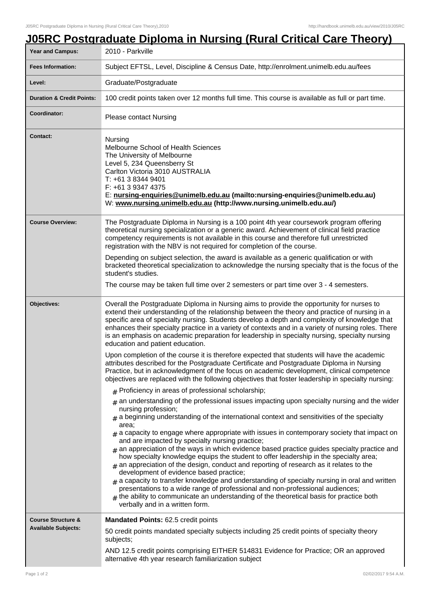| Year and Campus:                                            | <u>J05RC Postgraduate Diploma in Nursing (Rural Critical Care Theory)</u><br>2010 - Parkville                                                                                                                                                                                                                                                                                                                                                                                                                                                                                                                                                                                                                                                                                                                                                                                                                                                                                                                                                                               |  |  |
|-------------------------------------------------------------|-----------------------------------------------------------------------------------------------------------------------------------------------------------------------------------------------------------------------------------------------------------------------------------------------------------------------------------------------------------------------------------------------------------------------------------------------------------------------------------------------------------------------------------------------------------------------------------------------------------------------------------------------------------------------------------------------------------------------------------------------------------------------------------------------------------------------------------------------------------------------------------------------------------------------------------------------------------------------------------------------------------------------------------------------------------------------------|--|--|
| <b>Fees Information:</b>                                    | Subject EFTSL, Level, Discipline & Census Date, http://enrolment.unimelb.edu.au/fees                                                                                                                                                                                                                                                                                                                                                                                                                                                                                                                                                                                                                                                                                                                                                                                                                                                                                                                                                                                        |  |  |
| Level:                                                      | Graduate/Postgraduate                                                                                                                                                                                                                                                                                                                                                                                                                                                                                                                                                                                                                                                                                                                                                                                                                                                                                                                                                                                                                                                       |  |  |
| <b>Duration &amp; Credit Points:</b>                        | 100 credit points taken over 12 months full time. This course is available as full or part time.                                                                                                                                                                                                                                                                                                                                                                                                                                                                                                                                                                                                                                                                                                                                                                                                                                                                                                                                                                            |  |  |
| Coordinator:                                                | <b>Please contact Nursing</b>                                                                                                                                                                                                                                                                                                                                                                                                                                                                                                                                                                                                                                                                                                                                                                                                                                                                                                                                                                                                                                               |  |  |
| <b>Contact:</b>                                             | Nursing<br>Melbourne School of Health Sciences<br>The University of Melbourne<br>Level 5, 234 Queensberry St<br>Carlton Victoria 3010 AUSTRALIA<br>T: +61 3 8344 9401<br>F: +61 3 9347 4375<br>E: nursing-enquiries@unimelb.edu.au (mailto:nursing-enquiries@unimelb.edu.au)<br>W: www.nursing.unimelb.edu.au (http://www.nursing.unimelb.edu.au/)                                                                                                                                                                                                                                                                                                                                                                                                                                                                                                                                                                                                                                                                                                                          |  |  |
| <b>Course Overview:</b>                                     | The Postgraduate Diploma in Nursing is a 100 point 4th year coursework program offering<br>theoretical nursing specialization or a generic award. Achievement of clinical field practice<br>competency requirements is not available in this course and therefore full unrestricted<br>registration with the NBV is not required for completion of the course.                                                                                                                                                                                                                                                                                                                                                                                                                                                                                                                                                                                                                                                                                                              |  |  |
|                                                             | Depending on subject selection, the award is available as a generic qualification or with<br>bracketed theoretical specialization to acknowledge the nursing specialty that is the focus of the<br>student's studies.                                                                                                                                                                                                                                                                                                                                                                                                                                                                                                                                                                                                                                                                                                                                                                                                                                                       |  |  |
|                                                             | The course may be taken full time over 2 semesters or part time over 3 - 4 semesters.                                                                                                                                                                                                                                                                                                                                                                                                                                                                                                                                                                                                                                                                                                                                                                                                                                                                                                                                                                                       |  |  |
| Objectives:                                                 | Overall the Postgraduate Diploma in Nursing aims to provide the opportunity for nurses to<br>extend their understanding of the relationship between the theory and practice of nursing in a<br>specific area of specialty nursing. Students develop a depth and complexity of knowledge that<br>enhances their specialty practice in a variety of contexts and in a variety of nursing roles. There<br>is an emphasis on academic preparation for leadership in specialty nursing, specialty nursing<br>education and patient education.                                                                                                                                                                                                                                                                                                                                                                                                                                                                                                                                    |  |  |
|                                                             | Upon completion of the course it is therefore expected that students will have the academic<br>attributes described for the Postgraduate Certificate and Postgraduate Diploma in Nursing<br>Practice, but in acknowledgment of the focus on academic development, clinical competence<br>objectives are replaced with the following objectives that foster leadership in specialty nursing:                                                                                                                                                                                                                                                                                                                                                                                                                                                                                                                                                                                                                                                                                 |  |  |
|                                                             | $#$ Proficiency in areas of professional scholarship;                                                                                                                                                                                                                                                                                                                                                                                                                                                                                                                                                                                                                                                                                                                                                                                                                                                                                                                                                                                                                       |  |  |
|                                                             | $*$ an understanding of the professional issues impacting upon specialty nursing and the wider<br>nursing profession;<br>$_{\text{H}}$ a beginning understanding of the international context and sensitivities of the specialty<br>area;<br>$_{\text{\#}}$ a capacity to engage where appropriate with issues in contemporary society that impact on<br>and are impacted by specialty nursing practice;<br>$#$ an appreciation of the ways in which evidence based practice guides specialty practice and<br>how specialty knowledge equips the student to offer leadership in the specialty area;<br>$*$ an appreciation of the design, conduct and reporting of research as it relates to the<br>development of evidence based practice;<br>$_{\text{\#}}$ a capacity to transfer knowledge and understanding of specialty nursing in oral and written<br>presentations to a wide range of professional and non-professional audiences;<br>$#$ the ability to communicate an understanding of the theoretical basis for practice both<br>verbally and in a written form. |  |  |
| <b>Course Structure &amp;</b><br><b>Available Subjects:</b> | <b>Mandated Points: 62.5 credit points</b>                                                                                                                                                                                                                                                                                                                                                                                                                                                                                                                                                                                                                                                                                                                                                                                                                                                                                                                                                                                                                                  |  |  |
|                                                             | 50 credit points mandated specialty subjects including 25 credit points of specialty theory<br>subjects;                                                                                                                                                                                                                                                                                                                                                                                                                                                                                                                                                                                                                                                                                                                                                                                                                                                                                                                                                                    |  |  |
|                                                             | AND 12.5 credit points comprising EITHER 514831 Evidence for Practice; OR an approved<br>alternative 4th year research familiarization subject                                                                                                                                                                                                                                                                                                                                                                                                                                                                                                                                                                                                                                                                                                                                                                                                                                                                                                                              |  |  |